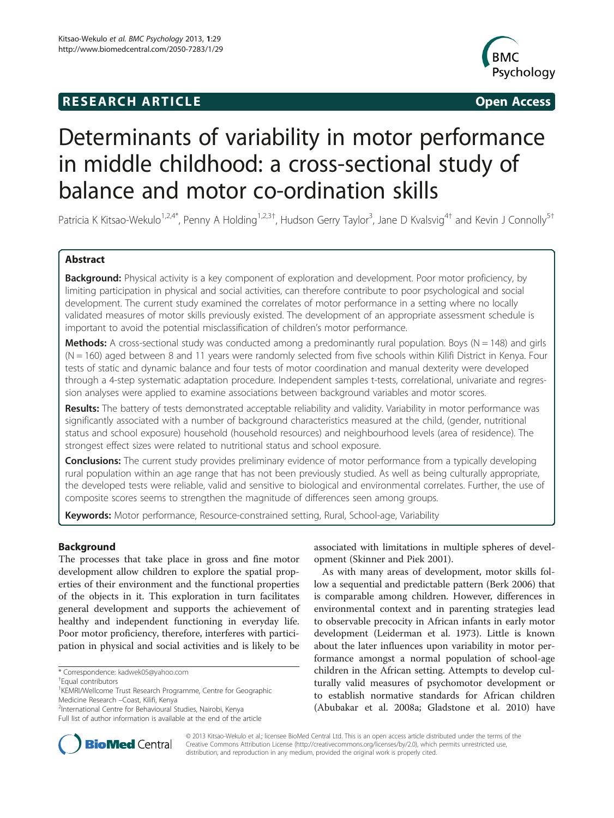# **RESEARCH ARTICLE Example 2014 CONSIDERING CONSIDERING CONSIDERING CONSIDERING CONSIDERING CONSIDERING CONSIDERING CONSIDERING CONSIDERING CONSIDERING CONSIDERING CONSIDERING CONSIDERING CONSIDERING CONSIDERING CONSIDE**



# Determinants of variability in motor performance in middle childhood: a cross-sectional study of balance and motor co-ordination skills

Patricia K Kitsao-Wekulo<sup>1,2,4\*</sup>, Penny A Holding<sup>1,2,3†</sup>, Hudson Gerry Taylor<sup>3</sup>, Jane D Kvalsvig<sup>4†</sup> and Kevin J Connolly<sup>5†</sup>

## Abstract

Background: Physical activity is a key component of exploration and development. Poor motor proficiency, by limiting participation in physical and social activities, can therefore contribute to poor psychological and social development. The current study examined the correlates of motor performance in a setting where no locally validated measures of motor skills previously existed. The development of an appropriate assessment schedule is important to avoid the potential misclassification of children's motor performance.

**Methods:** A cross-sectional study was conducted among a predominantly rural population. Boys ( $N = 148$ ) and girls  $(N = 160)$  aged between 8 and 11 years were randomly selected from five schools within Kilifi District in Kenya. Four tests of static and dynamic balance and four tests of motor coordination and manual dexterity were developed through a 4-step systematic adaptation procedure. Independent samples t-tests, correlational, univariate and regression analyses were applied to examine associations between background variables and motor scores.

Results: The battery of tests demonstrated acceptable reliability and validity. Variability in motor performance was significantly associated with a number of background characteristics measured at the child, (gender, nutritional status and school exposure) household (household resources) and neighbourhood levels (area of residence). The strongest effect sizes were related to nutritional status and school exposure.

**Conclusions:** The current study provides preliminary evidence of motor performance from a typically developing rural population within an age range that has not been previously studied. As well as being culturally appropriate, the developed tests were reliable, valid and sensitive to biological and environmental correlates. Further, the use of composite scores seems to strengthen the magnitude of differences seen among groups.

Keywords: Motor performance, Resource-constrained setting, Rural, School-age, Variability

## Background

The processes that take place in gross and fine motor development allow children to explore the spatial properties of their environment and the functional properties of the objects in it. This exploration in turn facilitates general development and supports the achievement of healthy and independent functioning in everyday life. Poor motor proficiency, therefore, interferes with participation in physical and social activities and is likely to be

Equal contributors

<sup>2</sup>International Centre for Behavioural Studies, Nairobi, Kenya

Full list of author information is available at the end of the article

associated with limitations in multiple spheres of development (Skinner and Piek [2001\)](#page-13-0).

As with many areas of development, motor skills follow a sequential and predictable pattern (Berk [2006](#page-12-0)) that is comparable among children. However, differences in environmental context and in parenting strategies lead to observable precocity in African infants in early motor development (Leiderman et al. [1973\)](#page-12-0). Little is known about the later influences upon variability in motor performance amongst a normal population of school-age children in the African setting. Attempts to develop culturally valid measures of psychomotor development or to establish normative standards for African children (Abubakar et al. [2008a;](#page-11-0) Gladstone et al. [2010\)](#page-12-0) have



© 2013 Kitsao-Wekulo et al.; licensee BioMed Central Ltd. This is an open access article distributed under the terms of the Creative Commons Attribution License (<http://creativecommons.org/licenses/by/2.0>), which permits unrestricted use, distribution, and reproduction in any medium, provided the original work is properly cited.

<sup>\*</sup> Correspondence: [kadwek05@yahoo.com](mailto:kadwek05@yahoo.com) †

<sup>&</sup>lt;sup>1</sup>KEMRI/Wellcome Trust Research Programme, Centre for Geographic Medicine Research –Coast, Kilifi, Kenya <sup>2</sup>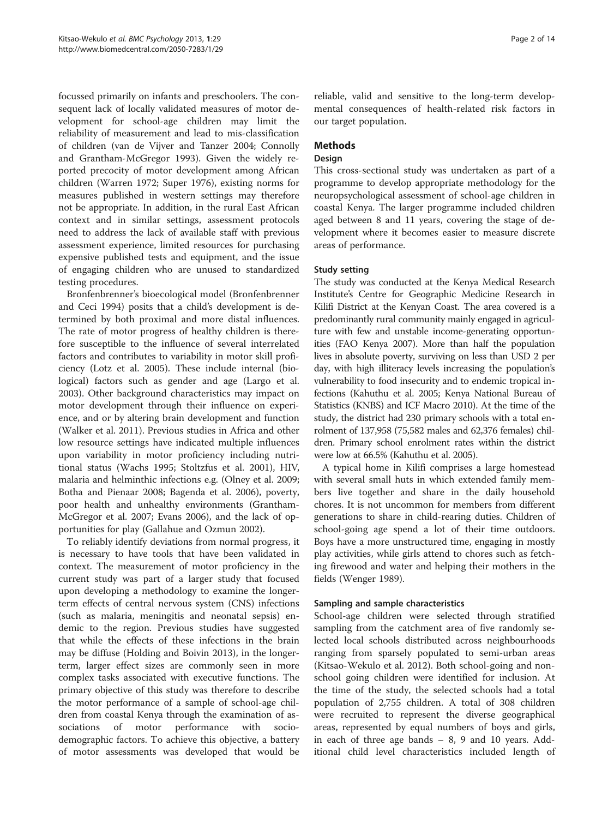focussed primarily on infants and preschoolers. The consequent lack of locally validated measures of motor development for school-age children may limit the reliability of measurement and lead to mis-classification of children (van de Vijver and Tanzer [2004](#page-13-0); Connolly and Grantham-McGregor [1993\)](#page-12-0). Given the widely reported precocity of motor development among African children (Warren [1972;](#page-13-0) Super [1976\)](#page-13-0), existing norms for measures published in western settings may therefore not be appropriate. In addition, in the rural East African context and in similar settings, assessment protocols need to address the lack of available staff with previous assessment experience, limited resources for purchasing expensive published tests and equipment, and the issue of engaging children who are unused to standardized testing procedures.

Bronfenbrenner's bioecological model (Bronfenbrenner and Ceci [1994\)](#page-12-0) posits that a child's development is determined by both proximal and more distal influences. The rate of motor progress of healthy children is therefore susceptible to the influence of several interrelated factors and contributes to variability in motor skill proficiency (Lotz et al. [2005\)](#page-12-0). These include internal (biological) factors such as gender and age (Largo et al. [2003](#page-12-0)). Other background characteristics may impact on motor development through their influence on experience, and or by altering brain development and function (Walker et al. [2011\)](#page-13-0). Previous studies in Africa and other low resource settings have indicated multiple influences upon variability in motor proficiency including nutritional status (Wachs [1995;](#page-13-0) Stoltzfus et al. [2001\)](#page-13-0), HIV, malaria and helminthic infections e.g. (Olney et al. [2009](#page-12-0); Botha and Pienaar [2008](#page-12-0); Bagenda et al. [2006](#page-12-0)), poverty, poor health and unhealthy environments (Grantham-McGregor et al. [2007;](#page-12-0) Evans [2006\)](#page-12-0), and the lack of opportunities for play (Gallahue and Ozmun [2002\)](#page-12-0).

To reliably identify deviations from normal progress, it is necessary to have tools that have been validated in context. The measurement of motor proficiency in the current study was part of a larger study that focused upon developing a methodology to examine the longerterm effects of central nervous system (CNS) infections (such as malaria, meningitis and neonatal sepsis) endemic to the region. Previous studies have suggested that while the effects of these infections in the brain may be diffuse (Holding and Boivin [2013\)](#page-12-0), in the longerterm, larger effect sizes are commonly seen in more complex tasks associated with executive functions. The primary objective of this study was therefore to describe the motor performance of a sample of school-age children from coastal Kenya through the examination of associations of motor performance with sociodemographic factors. To achieve this objective, a battery of motor assessments was developed that would be

reliable, valid and sensitive to the long-term developmental consequences of health-related risk factors in our target population.

## Methods

## Design

This cross-sectional study was undertaken as part of a programme to develop appropriate methodology for the neuropsychological assessment of school-age children in coastal Kenya. The larger programme included children aged between 8 and 11 years, covering the stage of development where it becomes easier to measure discrete areas of performance.

## Study setting

The study was conducted at the Kenya Medical Research Institute's Centre for Geographic Medicine Research in Kilifi District at the Kenyan Coast. The area covered is a predominantly rural community mainly engaged in agriculture with few and unstable income-generating opportunities (FAO Kenya [2007](#page-12-0)). More than half the population lives in absolute poverty, surviving on less than USD 2 per day, with high illiteracy levels increasing the population's vulnerability to food insecurity and to endemic tropical infections (Kahuthu et al. [2005](#page-12-0); Kenya National Bureau of Statistics (KNBS) and ICF Macro [2010](#page-12-0)). At the time of the study, the district had 230 primary schools with a total enrolment of 137,958 (75,582 males and 62,376 females) children. Primary school enrolment rates within the district were low at 66.5% (Kahuthu et al. [2005\)](#page-12-0).

A typical home in Kilifi comprises a large homestead with several small huts in which extended family members live together and share in the daily household chores. It is not uncommon for members from different generations to share in child-rearing duties. Children of school-going age spend a lot of their time outdoors. Boys have a more unstructured time, engaging in mostly play activities, while girls attend to chores such as fetching firewood and water and helping their mothers in the fields (Wenger [1989](#page-13-0)).

## Sampling and sample characteristics

School-age children were selected through stratified sampling from the catchment area of five randomly selected local schools distributed across neighbourhoods ranging from sparsely populated to semi-urban areas (Kitsao-Wekulo et al. [2012\)](#page-12-0). Both school-going and nonschool going children were identified for inclusion. At the time of the study, the selected schools had a total population of 2,755 children. A total of 308 children were recruited to represent the diverse geographical areas, represented by equal numbers of boys and girls, in each of three age bands – 8, 9 and 10 years. Additional child level characteristics included length of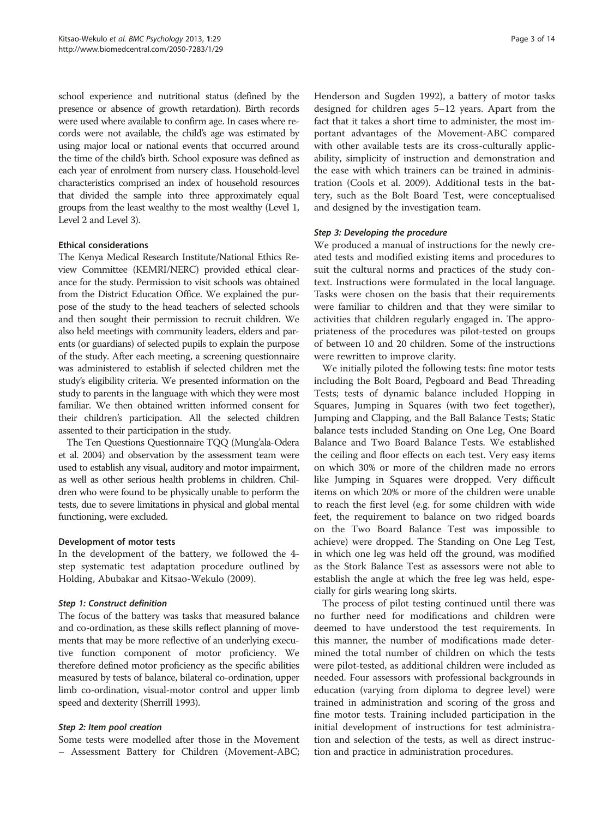school experience and nutritional status (defined by the presence or absence of growth retardation). Birth records were used where available to confirm age. In cases where records were not available, the child's age was estimated by using major local or national events that occurred around the time of the child's birth. School exposure was defined as each year of enrolment from nursery class. Household-level characteristics comprised an index of household resources that divided the sample into three approximately equal groups from the least wealthy to the most wealthy (Level 1, Level 2 and Level 3).

## Ethical considerations

The Kenya Medical Research Institute/National Ethics Review Committee (KEMRI/NERC) provided ethical clearance for the study. Permission to visit schools was obtained from the District Education Office. We explained the purpose of the study to the head teachers of selected schools and then sought their permission to recruit children. We also held meetings with community leaders, elders and parents (or guardians) of selected pupils to explain the purpose of the study. After each meeting, a screening questionnaire was administered to establish if selected children met the study's eligibility criteria. We presented information on the study to parents in the language with which they were most familiar. We then obtained written informed consent for their children's participation. All the selected children assented to their participation in the study.

The Ten Questions Questionnaire TQQ (Mung'ala-Odera et al. [2004\)](#page-12-0) and observation by the assessment team were used to establish any visual, auditory and motor impairment, as well as other serious health problems in children. Children who were found to be physically unable to perform the tests, due to severe limitations in physical and global mental functioning, were excluded.

#### Development of motor tests

In the development of the battery, we followed the 4 step systematic test adaptation procedure outlined by Holding, Abubakar and Kitsao-Wekulo [\(2009](#page-12-0)).

#### Step 1: Construct definition

The focus of the battery was tasks that measured balance and co-ordination, as these skills reflect planning of movements that may be more reflective of an underlying executive function component of motor proficiency. We therefore defined motor proficiency as the specific abilities measured by tests of balance, bilateral co-ordination, upper limb co-ordination, visual-motor control and upper limb speed and dexterity (Sherrill [1993](#page-12-0)).

#### Step 2: Item pool creation

Some tests were modelled after those in the Movement – Assessment Battery for Children (Movement-ABC; Henderson and Sugden [1992\)](#page-12-0), a battery of motor tasks designed for children ages 5–12 years. Apart from the fact that it takes a short time to administer, the most important advantages of the Movement-ABC compared with other available tests are its cross-culturally applicability, simplicity of instruction and demonstration and the ease with which trainers can be trained in administration (Cools et al. [2009\)](#page-12-0). Additional tests in the battery, such as the Bolt Board Test, were conceptualised and designed by the investigation team.

## Step 3: Developing the procedure

We produced a manual of instructions for the newly created tests and modified existing items and procedures to suit the cultural norms and practices of the study context. Instructions were formulated in the local language. Tasks were chosen on the basis that their requirements were familiar to children and that they were similar to activities that children regularly engaged in. The appropriateness of the procedures was pilot-tested on groups of between 10 and 20 children. Some of the instructions were rewritten to improve clarity.

We initially piloted the following tests: fine motor tests including the Bolt Board, Pegboard and Bead Threading Tests; tests of dynamic balance included Hopping in Squares, Jumping in Squares (with two feet together), Jumping and Clapping, and the Ball Balance Tests; Static balance tests included Standing on One Leg, One Board Balance and Two Board Balance Tests. We established the ceiling and floor effects on each test. Very easy items on which 30% or more of the children made no errors like Jumping in Squares were dropped. Very difficult items on which 20% or more of the children were unable to reach the first level (e.g. for some children with wide feet, the requirement to balance on two ridged boards on the Two Board Balance Test was impossible to achieve) were dropped. The Standing on One Leg Test, in which one leg was held off the ground, was modified as the Stork Balance Test as assessors were not able to establish the angle at which the free leg was held, especially for girls wearing long skirts.

The process of pilot testing continued until there was no further need for modifications and children were deemed to have understood the test requirements. In this manner, the number of modifications made determined the total number of children on which the tests were pilot-tested, as additional children were included as needed. Four assessors with professional backgrounds in education (varying from diploma to degree level) were trained in administration and scoring of the gross and fine motor tests. Training included participation in the initial development of instructions for test administration and selection of the tests, as well as direct instruction and practice in administration procedures.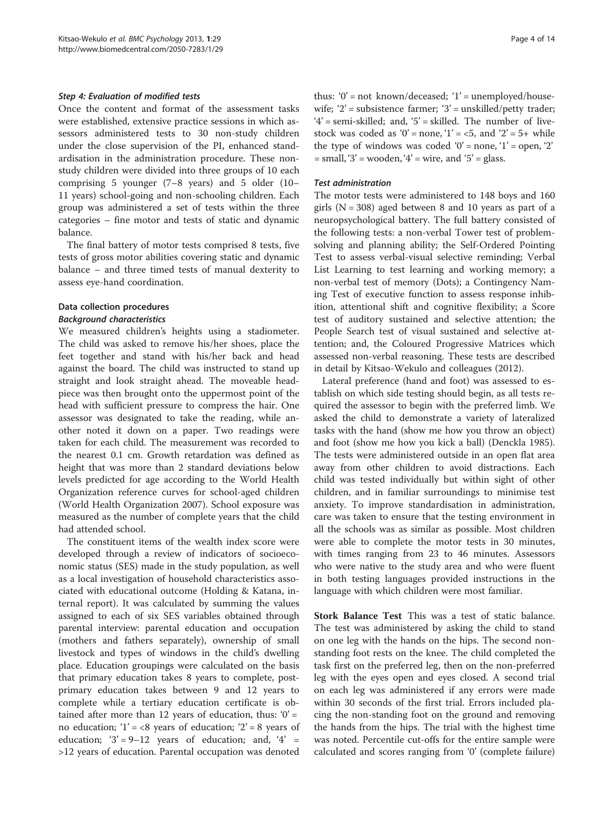#### Step 4: Evaluation of modified tests

Once the content and format of the assessment tasks were established, extensive practice sessions in which assessors administered tests to 30 non-study children under the close supervision of the PI, enhanced standardisation in the administration procedure. These nonstudy children were divided into three groups of 10 each comprising 5 younger (7–8 years) and 5 older (10– 11 years) school-going and non-schooling children. Each group was administered a set of tests within the three categories – fine motor and tests of static and dynamic balance.

The final battery of motor tests comprised 8 tests, five tests of gross motor abilities covering static and dynamic balance – and three timed tests of manual dexterity to assess eye-hand coordination.

# Data collection procedures

## Background characteristics

We measured children's heights using a stadiometer. The child was asked to remove his/her shoes, place the feet together and stand with his/her back and head against the board. The child was instructed to stand up straight and look straight ahead. The moveable headpiece was then brought onto the uppermost point of the head with sufficient pressure to compress the hair. One assessor was designated to take the reading, while another noted it down on a paper. Two readings were taken for each child. The measurement was recorded to the nearest 0.1 cm. Growth retardation was defined as height that was more than 2 standard deviations below levels predicted for age according to the World Health Organization reference curves for school-aged children (World Health Organization [2007](#page-13-0)). School exposure was measured as the number of complete years that the child had attended school.

The constituent items of the wealth index score were developed through a review of indicators of socioeconomic status (SES) made in the study population, as well as a local investigation of household characteristics associated with educational outcome (Holding & Katana, internal report). It was calculated by summing the values assigned to each of six SES variables obtained through parental interview: parental education and occupation (mothers and fathers separately), ownership of small livestock and types of windows in the child's dwelling place. Education groupings were calculated on the basis that primary education takes 8 years to complete, postprimary education takes between 9 and 12 years to complete while a tertiary education certificate is obtained after more than 12 years of education, thus:  $0' =$ no education;  $1' = < 8$  years of education;  $2' = 8$  years of education;  $3' = 9-12$  years of education; and,  $4' =$ >12 years of education. Parental occupation was denoted

thus: ' $0'$  = not known/deceased; ' $1'$  = unemployed/housewife;  $2'$  = subsistence farmer;  $3'$  = unskilled/petty trader;  $4'$  = semi-skilled; and,  $5'$  = skilled. The number of livestock was coded as '0' = none, '1' = <5, and '2' = 5+ while the type of windows was coded '0' = none, '1' = open, '2'  $=$  small, '3' = wooden, '4' = wire, and '5' = glass.

#### Test administration

The motor tests were administered to 148 boys and 160 girls ( $N = 308$ ) aged between 8 and 10 years as part of a neuropsychological battery. The full battery consisted of the following tests: a non-verbal Tower test of problemsolving and planning ability; the Self-Ordered Pointing Test to assess verbal-visual selective reminding; Verbal List Learning to test learning and working memory; a non-verbal test of memory (Dots); a Contingency Naming Test of executive function to assess response inhibition, attentional shift and cognitive flexibility; a Score test of auditory sustained and selective attention; the People Search test of visual sustained and selective attention; and, the Coloured Progressive Matrices which assessed non-verbal reasoning. These tests are described in detail by Kitsao-Wekulo and colleagues [\(2012](#page-12-0)).

Lateral preference (hand and foot) was assessed to establish on which side testing should begin, as all tests required the assessor to begin with the preferred limb. We asked the child to demonstrate a variety of lateralized tasks with the hand (show me how you throw an object) and foot (show me how you kick a ball) (Denckla [1985](#page-12-0)). The tests were administered outside in an open flat area away from other children to avoid distractions. Each child was tested individually but within sight of other children, and in familiar surroundings to minimise test anxiety. To improve standardisation in administration, care was taken to ensure that the testing environment in all the schools was as similar as possible. Most children were able to complete the motor tests in 30 minutes, with times ranging from 23 to 46 minutes. Assessors who were native to the study area and who were fluent in both testing languages provided instructions in the language with which children were most familiar.

Stork Balance Test This was a test of static balance. The test was administered by asking the child to stand on one leg with the hands on the hips. The second nonstanding foot rests on the knee. The child completed the task first on the preferred leg, then on the non-preferred leg with the eyes open and eyes closed. A second trial on each leg was administered if any errors were made within 30 seconds of the first trial. Errors included placing the non-standing foot on the ground and removing the hands from the hips. The trial with the highest time was noted. Percentile cut-offs for the entire sample were calculated and scores ranging from '0' (complete failure)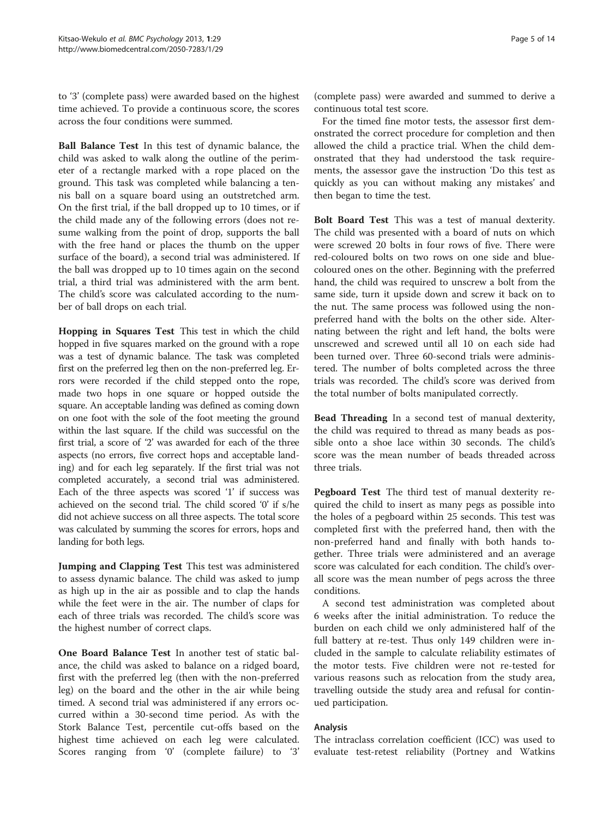to '3' (complete pass) were awarded based on the highest time achieved. To provide a continuous score, the scores across the four conditions were summed.

Ball Balance Test In this test of dynamic balance, the child was asked to walk along the outline of the perimeter of a rectangle marked with a rope placed on the ground. This task was completed while balancing a tennis ball on a square board using an outstretched arm. On the first trial, if the ball dropped up to 10 times, or if the child made any of the following errors (does not resume walking from the point of drop, supports the ball with the free hand or places the thumb on the upper surface of the board), a second trial was administered. If the ball was dropped up to 10 times again on the second trial, a third trial was administered with the arm bent. The child's score was calculated according to the number of ball drops on each trial.

Hopping in Squares Test This test in which the child hopped in five squares marked on the ground with a rope was a test of dynamic balance. The task was completed first on the preferred leg then on the non-preferred leg. Errors were recorded if the child stepped onto the rope, made two hops in one square or hopped outside the square. An acceptable landing was defined as coming down on one foot with the sole of the foot meeting the ground within the last square. If the child was successful on the first trial, a score of '2' was awarded for each of the three aspects (no errors, five correct hops and acceptable landing) and for each leg separately. If the first trial was not completed accurately, a second trial was administered. Each of the three aspects was scored '1' if success was achieved on the second trial. The child scored '0' if s/he did not achieve success on all three aspects. The total score was calculated by summing the scores for errors, hops and landing for both legs.

Jumping and Clapping Test This test was administered to assess dynamic balance. The child was asked to jump as high up in the air as possible and to clap the hands while the feet were in the air. The number of claps for each of three trials was recorded. The child's score was the highest number of correct claps.

One Board Balance Test In another test of static balance, the child was asked to balance on a ridged board, first with the preferred leg (then with the non-preferred leg) on the board and the other in the air while being timed. A second trial was administered if any errors occurred within a 30-second time period. As with the Stork Balance Test, percentile cut-offs based on the highest time achieved on each leg were calculated. Scores ranging from '0' (complete failure) to '3'

(complete pass) were awarded and summed to derive a continuous total test score.

For the timed fine motor tests, the assessor first demonstrated the correct procedure for completion and then allowed the child a practice trial. When the child demonstrated that they had understood the task requirements, the assessor gave the instruction 'Do this test as quickly as you can without making any mistakes' and then began to time the test.

Bolt Board Test This was a test of manual dexterity. The child was presented with a board of nuts on which were screwed 20 bolts in four rows of five. There were red-coloured bolts on two rows on one side and bluecoloured ones on the other. Beginning with the preferred hand, the child was required to unscrew a bolt from the same side, turn it upside down and screw it back on to the nut. The same process was followed using the nonpreferred hand with the bolts on the other side. Alternating between the right and left hand, the bolts were unscrewed and screwed until all 10 on each side had been turned over. Three 60-second trials were administered. The number of bolts completed across the three trials was recorded. The child's score was derived from the total number of bolts manipulated correctly.

Bead Threading In a second test of manual dexterity, the child was required to thread as many beads as possible onto a shoe lace within 30 seconds. The child's score was the mean number of beads threaded across three trials.

Pegboard Test The third test of manual dexterity required the child to insert as many pegs as possible into the holes of a pegboard within 25 seconds. This test was completed first with the preferred hand, then with the non-preferred hand and finally with both hands together. Three trials were administered and an average score was calculated for each condition. The child's overall score was the mean number of pegs across the three conditions.

A second test administration was completed about 6 weeks after the initial administration. To reduce the burden on each child we only administered half of the full battery at re-test. Thus only 149 children were included in the sample to calculate reliability estimates of the motor tests. Five children were not re-tested for various reasons such as relocation from the study area, travelling outside the study area and refusal for continued participation.

## Analysis

The intraclass correlation coefficient (ICC) was used to evaluate test-retest reliability (Portney and Watkins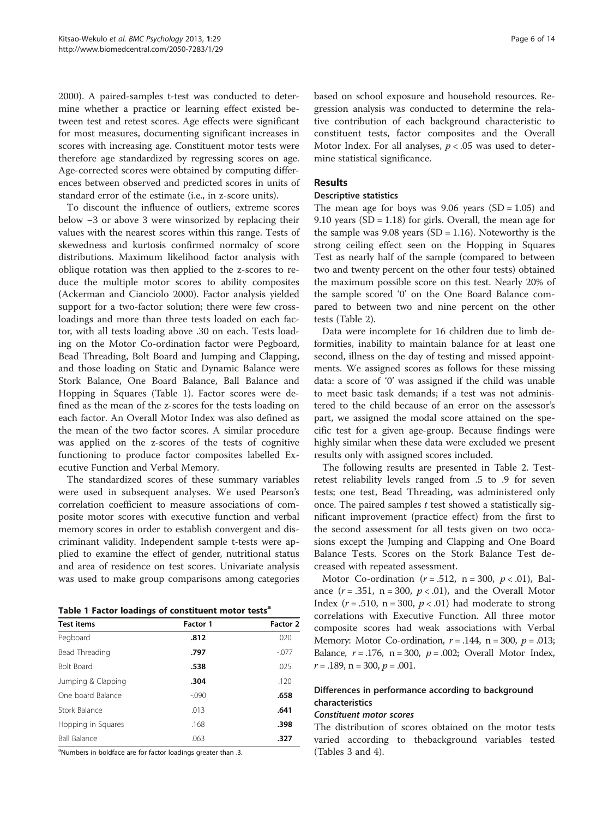[2000](#page-12-0)). A paired-samples t-test was conducted to determine whether a practice or learning effect existed between test and retest scores. Age effects were significant for most measures, documenting significant increases in scores with increasing age. Constituent motor tests were therefore age standardized by regressing scores on age. Age-corrected scores were obtained by computing differences between observed and predicted scores in units of standard error of the estimate (i.e., in z-score units).

To discount the influence of outliers, extreme scores below −3 or above 3 were winsorized by replacing their values with the nearest scores within this range. Tests of skewedness and kurtosis confirmed normalcy of score distributions. Maximum likelihood factor analysis with oblique rotation was then applied to the z-scores to reduce the multiple motor scores to ability composites (Ackerman and Cianciolo [2000\)](#page-12-0). Factor analysis yielded support for a two-factor solution; there were few crossloadings and more than three tests loaded on each factor, with all tests loading above .30 on each. Tests loading on the Motor Co-ordination factor were Pegboard, Bead Threading, Bolt Board and Jumping and Clapping, and those loading on Static and Dynamic Balance were Stork Balance, One Board Balance, Ball Balance and Hopping in Squares (Table 1). Factor scores were defined as the mean of the z-scores for the tests loading on each factor. An Overall Motor Index was also defined as the mean of the two factor scores. A similar procedure was applied on the z-scores of the tests of cognitive functioning to produce factor composites labelled Executive Function and Verbal Memory.

The standardized scores of these summary variables were used in subsequent analyses. We used Pearson's correlation coefficient to measure associations of composite motor scores with executive function and verbal memory scores in order to establish convergent and discriminant validity. Independent sample t-tests were applied to examine the effect of gender, nutritional status and area of residence on test scores. Univariate analysis was used to make group comparisons among categories

|  |  | Table 1 Factor loadings of constituent motor tests <sup>a</sup> |  |
|--|--|-----------------------------------------------------------------|--|
|  |  |                                                                 |  |

| <b>Test items</b>   | <b>Factor 1</b> | Factor 2 |  |  |  |
|---------------------|-----------------|----------|--|--|--|
| Pegboard            | .812            | .020     |  |  |  |
| Bead Threading      | .797            | $-0.077$ |  |  |  |
| <b>Bolt Board</b>   | .538            | .025     |  |  |  |
| Jumping & Clapping  | .304            | .120     |  |  |  |
| One board Balance   | $-0.090$        | .658     |  |  |  |
| Stork Balance       | .013            | .641     |  |  |  |
| Hopping in Squares  | .168            | .398     |  |  |  |
| <b>Ball Balance</b> | .063            | .327     |  |  |  |
|                     |                 |          |  |  |  |

<sup>a</sup>Numbers in boldface are for factor loadings greater than .3.

based on school exposure and household resources. Regression analysis was conducted to determine the relative contribution of each background characteristic to constituent tests, factor composites and the Overall Motor Index. For all analyses,  $p < .05$  was used to determine statistical significance.

## Results

#### Descriptive statistics

The mean age for boys was  $9.06$  years (SD = 1.05) and 9.10 years  $(SD = 1.18)$  for girls. Overall, the mean age for the sample was  $9.08$  years (SD = 1.16). Noteworthy is the strong ceiling effect seen on the Hopping in Squares Test as nearly half of the sample (compared to between two and twenty percent on the other four tests) obtained the maximum possible score on this test. Nearly 20% of the sample scored '0' on the One Board Balance compared to between two and nine percent on the other tests (Table [2](#page-6-0)).

Data were incomplete for 16 children due to limb deformities, inability to maintain balance for at least one second, illness on the day of testing and missed appointments. We assigned scores as follows for these missing data: a score of '0' was assigned if the child was unable to meet basic task demands; if a test was not administered to the child because of an error on the assessor's part, we assigned the modal score attained on the specific test for a given age-group. Because findings were highly similar when these data were excluded we present results only with assigned scores included.

The following results are presented in Table [2.](#page-6-0) Testretest reliability levels ranged from .5 to .9 for seven tests; one test, Bead Threading, was administered only once. The paired samples  $t$  test showed a statistically significant improvement (practice effect) from the first to the second assessment for all tests given on two occasions except the Jumping and Clapping and One Board Balance Tests. Scores on the Stork Balance Test decreased with repeated assessment.

Motor Co-ordination ( $r = .512$ , n = 300,  $p < .01$ ), Balance  $(r=.351, n=.300, p<.01)$ , and the Overall Motor Index ( $r = .510$ ,  $n = 300$ ,  $p < .01$ ) had moderate to strong correlations with Executive Function. All three motor composite scores had weak associations with Verbal Memory: Motor Co-ordination,  $r = .144$ ,  $n = 300$ ,  $p = .013$ ; Balance,  $r = .176$ ,  $n = 300$ ,  $p = .002$ ; Overall Motor Index,  $r = .189$ ,  $n = 300$ ,  $p = .001$ .

## Differences in performance according to background characteristics

## Constituent motor scores

The distribution of scores obtained on the motor tests varied according to thebackground variables tested (Tables [3](#page-6-0) and [4\)](#page-7-0).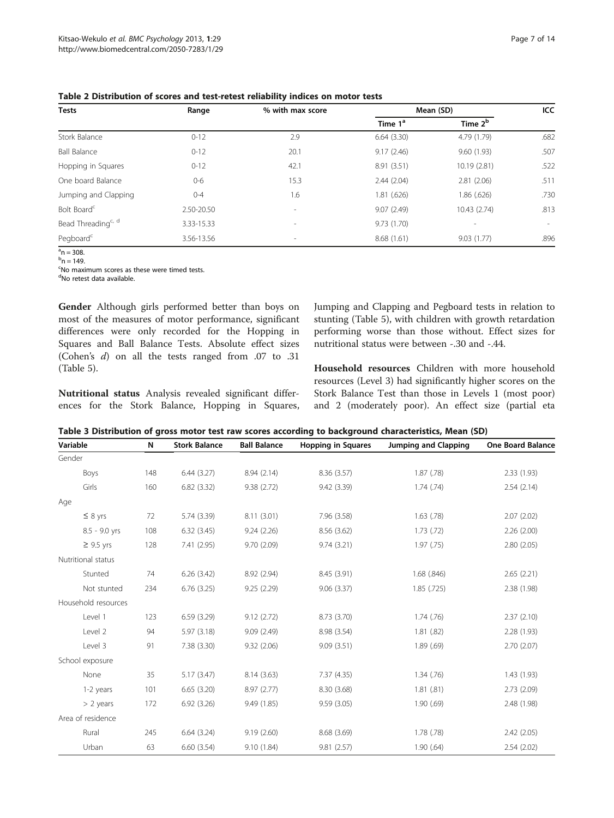| <b>Tests</b>                   | Range      | % with max score         | Mean (SD)           | ICC.                |                          |
|--------------------------------|------------|--------------------------|---------------------|---------------------|--------------------------|
|                                |            |                          | Time 1 <sup>a</sup> | Time 2 <sup>b</sup> |                          |
| Stork Balance                  | $0 - 12$   | 2.9                      | 6.64(3.30)          | 4.79 (1.79)         | .682                     |
| <b>Ball Balance</b>            | $0 - 12$   | 20.1                     | 9.17(2.46)          | 9.60(1.93)          | .507                     |
| Hopping in Squares             | $0 - 12$   | 42.1                     | 8.91(3.51)          | 10.19 (2.81)        | .522                     |
| One board Balance              | $0-6$      | 15.3                     | 2.44(2.04)          | 2.81(2.06)          | .511                     |
| Jumping and Clapping           | $0 - 4$    | 1.6                      | 1.81(.626)          | 1.86 (.626)         | .730                     |
| Bolt Board <sup>c</sup>        | 2.50-20.50 | $\overline{\phantom{a}}$ | 9.07(2.49)          | 10.43 (2.74)        | .813                     |
| Bead Threading <sup>c, d</sup> | 3.33-15.33 | $\overline{\phantom{a}}$ | 9.73(1.70)          | $\sim$              | $\overline{\phantom{a}}$ |
| Pegboard <sup>c</sup>          | 3.56-13.56 | ٠                        | 8.68(1.61)          | 9.03(1.77)          | .896                     |

<span id="page-6-0"></span>Table 2 Distribution of scores and test-retest reliability indices on motor tests

 $a^{a}$ n = 308.  $^{\rm b}$ n = 149.

<sup>c</sup>No maximum scores as these were timed tests.

<sup>d</sup>No retest data available.

Gender Although girls performed better than boys on most of the measures of motor performance, significant differences were only recorded for the Hopping in Squares and Ball Balance Tests. Absolute effect sizes (Cohen's d) on all the tests ranged from .07 to .31 (Table [5\)](#page-7-0).

ences for the Stork Balance, Hopping in Squares,

Nutritional status Analysis revealed significant differ-

Jumping and Clapping and Pegboard tests in relation to stunting (Table [5\)](#page-7-0), with children with growth retardation performing worse than those without. Effect sizes for nutritional status were between -.30 and -.44.

Household resources Children with more household resources (Level 3) had significantly higher scores on the Stork Balance Test than those in Levels 1 (most poor) and 2 (moderately poor). An effect size (partial eta

Table 3 Distribution of gross motor test raw scores according to background characteristics, Mean (SD)

| Variable            | N   | <b>Stork Balance</b> | <b>Ball Balance</b> | <b>Hopping in Squares</b> | Jumping and Clapping | <b>One Board Balance</b> |
|---------------------|-----|----------------------|---------------------|---------------------------|----------------------|--------------------------|
| Gender              |     |                      |                     |                           |                      |                          |
| Boys                | 148 | 6.44(3.27)           | 8.94(2.14)          | 8.36(3.57)                | 1.87(0.78)           | 2.33(1.93)               |
| Girls               | 160 | 6.82(3.32)           | 9.38(2.72)          | 9.42 (3.39)               | 1.74(.74)            | 2.54(2.14)               |
| Age                 |     |                      |                     |                           |                      |                          |
| $\leq 8$ yrs        | 72  | 5.74(3.39)           | 8.11(3.01)          | 7.96 (3.58)               | $1.63$ (.78)         | 2.07(2.02)               |
| 8.5 - 9.0 yrs       | 108 | 6.32(3.45)           | 9.24(2.26)          | 8.56(3.62)                | 1.73(0.72)           | 2.26(2.00)               |
| $\geq$ 9.5 yrs      | 128 | 7.41(2.95)           | 9.70(2.09)          | 9.74(3.21)                | 1.97(0.75)           | 2.80(2.05)               |
| Nutritional status  |     |                      |                     |                           |                      |                          |
| Stunted             | 74  | 6.26(3.42)           | 8.92 (2.94)         | 8.45(3.91)                | 1.68(.846)           | 2.65(2.21)               |
| Not stunted         | 234 | 6.76(3.25)           | 9.25(2.29)          | 9.06(3.37)                | $1.85$ (.725)        | 2.38 (1.98)              |
| Household resources |     |                      |                     |                           |                      |                          |
| Level 1             | 123 | 6.59(3.29)           | 9.12(2.72)          | 8.73 (3.70)               | 1.74(.76)            | 2.37(2.10)               |
| Level 2             | 94  | 5.97(3.18)           | 9.09(2.49)          | 8.98 (3.54)               | 1.81(.82)            | 2.28 (1.93)              |
| Level 3             | 91  | 7.38 (3.30)          | 9.32(2.06)          | 9.09(3.51)                | 1.89(.69)            | 2.70(2.07)               |
| School exposure     |     |                      |                     |                           |                      |                          |
| None                | 35  | 5.17(3.47)           | 8.14(3.63)          | 7.37 (4.35)               | 1.34(.76)            | 1.43(1.93)               |
| 1-2 years           | 101 | 6.65(3.20)           | 8.97(2.77)          | 8.30 (3.68)               | 1.81(.81)            | 2.73(2.09)               |
| $> 2$ years         | 172 | 6.92(3.26)           | 9.49(1.85)          | 9.59(3.05)                | 1.90(69)             | 2.48 (1.98)              |
| Area of residence   |     |                      |                     |                           |                      |                          |
| Rural               | 245 | 6.64(3.24)           | 9.19(2.60)          | 8.68 (3.69)               | 1.78(.78)            | 2.42(2.05)               |
| Urban               | 63  | 6.60(3.54)           | 9.10(1.84)          | 9.81(2.57)                | 1.90(.64)            | 2.54(2.02)               |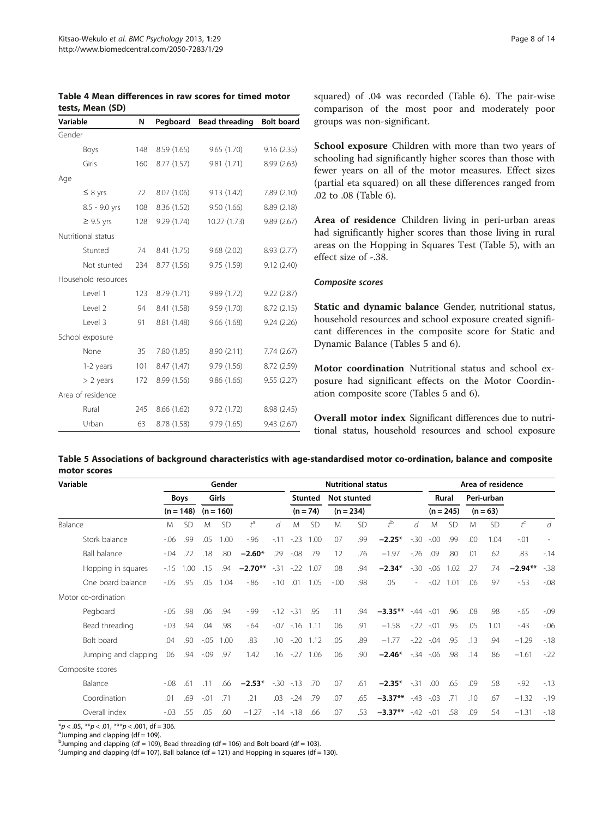<span id="page-7-0"></span>

| Table 4 Mean differences in raw scores for timed motor |  |  |  |
|--------------------------------------------------------|--|--|--|
| tests, Mean (SD)                                       |  |  |  |

| Variable            | N<br>Pegboard |             | <b>Bead threading</b> | <b>Bolt board</b> |  |  |
|---------------------|---------------|-------------|-----------------------|-------------------|--|--|
| Gender              |               |             |                       |                   |  |  |
| Boys                | 148           | 8.59 (1.65) | 9.65(1.70)            | 9.16(2.35)        |  |  |
| Girls               | 160           | 8.77 (1.57) | 9.81(1.71)            | 8.99(2.63)        |  |  |
| Age                 |               |             |                       |                   |  |  |
| $\leq 8$ yrs        | 72            | 8.07 (1.06) | 9.13(1.42)            | 7.89 (2.10)       |  |  |
| 8.5 - 9.0 yrs       | 108           | 8.36(1.52)  | 9.50(1.66)            | 8.89 (2.18)       |  |  |
| $\geq$ 9.5 yrs      | 128           | 9.29(1.74)  | 10.27(1.73)           | 9.89(2.67)        |  |  |
| Nutritional status  |               |             |                       |                   |  |  |
| Stunted             | 74            | 8.41 (1.75) | 9.68(2.02)            | 8.93 (2.77)       |  |  |
| Not stunted         | 234           | 8.77 (1.56) | 9.75(1.59)            | 9.12(2.40)        |  |  |
| Household resources |               |             |                       |                   |  |  |
| level 1             | 123           | 8.79 (1.71) | 9.89(1.72)            | 9.22(2.87)        |  |  |
| Level 2             | 94            | 8.41 (1.58) | 9.59(1.70)            | 8.72 (2.15)       |  |  |
| Level 3             | 91            | 8.81 (1.48) | 9.66(1.68)            | 9.24(2.26)        |  |  |
| School exposure     |               |             |                       |                   |  |  |
| None                | 35            | 7.80 (1.85) | 8.90(2.11)            | 7.74(2.67)        |  |  |
| 1-2 years           | 101           | 8.47 (1.47) | 9.79(1.56)            | 8.72(2.59)        |  |  |
| $> 2$ years         | 172           | 8.99 (1.56) | 9.86(1.66)            | 9.55(2.27)        |  |  |
| Area of residence   |               |             |                       |                   |  |  |
| Rural               | 245           | 8.66(1.62)  | 9.72(1.72)            | 8.98 (2.45)       |  |  |
| Urban               | 63            | 8.78 (1.58) | 9.79 (1.65)           | 9.43 (2.67)       |  |  |

squared) of .04 was recorded (Table [6\)](#page-8-0). The pair-wise comparison of the most poor and moderately poor groups was non-significant.

School exposure Children with more than two years of schooling had significantly higher scores than those with fewer years on all of the motor measures. Effect sizes (partial eta squared) on all these differences ranged from .02 to .08 (Table [6\)](#page-8-0).

Area of residence Children living in peri-urban areas had significantly higher scores than those living in rural areas on the Hopping in Squares Test (Table 5), with an effect size of -.38.

#### Composite scores

Static and dynamic balance Gender, nutritional status, household resources and school exposure created significant differences in the composite score for Static and Dynamic Balance (Tables 5 and [6](#page-8-0)).

Motor coordination Nutritional status and school exposure had significant effects on the Motor Coordination composite score (Tables 5 and [6](#page-8-0)).

Overall motor index Significant differences due to nutritional status, household resources and school exposure

| Table 5 Associations of background characteristics with age-standardised motor co-ordination, balance and composite |  |
|---------------------------------------------------------------------------------------------------------------------|--|
| motor scores                                                                                                        |  |

| Variable             |  | Gender  |             |         |             |             |                  |       | <b>Nutritional status</b> |         |             |                |            | Area of residence |             |     |            |                  |         |
|----------------------|--|---------|-------------|---------|-------------|-------------|------------------|-------|---------------------------|---------|-------------|----------------|------------|-------------------|-------------|-----|------------|------------------|---------|
|                      |  |         | <b>Boys</b> |         | Girls       |             |                  |       | <b>Stunted</b>            |         | Not stunted |                |            |                   | Rural       |     | Peri-urban |                  |         |
|                      |  |         | $(n = 148)$ |         | $(n = 160)$ |             |                  |       | $(n = 74)$                |         | $(n = 234)$ |                |            |                   | $(n = 245)$ |     | $(n = 63)$ |                  |         |
| Balance              |  | M       | <b>SD</b>   | M       | <b>SD</b>   | $t^{\rm a}$ | d                | M     | <b>SD</b>                 | M       | SD          | $t^{\rm b}$    | d          | M                 | <b>SD</b>   | M   | SD         | $t^{\mathsf{C}}$ | d       |
| Stork balance        |  | $-06$   | .99         | .05     | 1.00        | $-96$       | $-11$            | $-23$ | 1.00                      | .07     | .99         | $-2.25*$       | $-30$      | $-0.00$           | .99         | .00 | 1.04       | $-.01$           |         |
| <b>Ball balance</b>  |  | $-0.04$ | .72         | .18     | .80         | $-2.60*$    | .29              | $-08$ | .79                       | .12     | .76         | $-1.97$        | $-26$      | .09               | .80         | .01 | .62        | .83              | $-14$   |
| Hopping in squares   |  | $-15$   | 1.00        | .15     | .94         | $-2.70**$   | $-31$            | $-22$ | 1.07                      | .08     | .94         | $-2.34*$       | $-30$      | $-06$             | 1.02        | .27 | .74        | $-2.94**$        | $-38$   |
| One board balance    |  | $-0.05$ | .95         | .05     | 1.04        | $-86$       | $-10$            | .01   | 1.05                      | $-00 -$ | .98         | .05            | $\sim$     | $-0.02$           | 1.01        | .06 | .97        | $-53$            | $-0.08$ |
| Motor co-ordination  |  |         |             |         |             |             |                  |       |                           |         |             |                |            |                   |             |     |            |                  |         |
| Pegboard             |  | $-.05$  | .98         | .06     | .94         | $-99$       | $-12$            | $-31$ | .95                       | .11     | .94         | $-3.35**$      | $-.44-.01$ |                   | .96         | .08 | .98        | $-65$            | $-0.09$ |
| Bead threading       |  | $-0.03$ | .94         | .04     | .98         | $-64$       | $-0.07$          |       | $-16$ 1.11                | .06     | .91         | $-1.58$        |            | $-.22-.01$        | .95         | .05 | 1.01       | $-43$            | $-06$   |
| Bolt board           |  | .04     | .90         | $-0.05$ | 1.00        | .83         | .10 <sup>°</sup> | $-20$ | 1.12                      | .05     | .89         | $-1.77$        | $-22$      | $-.04$            | .95         | .13 | .94        | $-1.29$          | $-18$   |
| Jumping and clapping |  | .06     | .94         | $-0.09$ | .97         | 1.42        | .16              | $-27$ | 1.06                      | .06     | .90         | $-2.46*$       |            | $-34 - 06$        | .98         | .14 | .86        | $-1.61$          | $-22$   |
| Composite scores     |  |         |             |         |             |             |                  |       |                           |         |             |                |            |                   |             |     |            |                  |         |
| Balance              |  | $-0.08$ | .61         | .11     | .66         | $-2.53*$    | $-30$            | $-13$ | .70                       | .07     | .61         | $-2.35*$       | $-31$      | .00               | .65         | .09 | .58        | $-.92$           | $-13$   |
| Coordination         |  | .01     | .69         | $-.01$  | .71         | .21         | .03              | $-24$ | .79                       | .07     | .65         | $-3.37**$ -.43 |            | $-.03$            | .71         | .10 | .67        | $-1.32$          | $-19$   |
| Overall index        |  | $-03$   | .55         | .05     | .60         | $-1.27$     | $-14$            | $-18$ | .66                       | .07     | .53         | $-3.37**$      | $-42$      | $-0.01$           | .58         | .09 | .54        | $-1.31$          | $-18$   |

\*p < .05, \*\*p < .01, \*\*\*p < .001, df = 306.

 $a$ Jumping and clapping (df = 109).

 $^{\text{b}}$ Jumping and clapping (df = 109), Bead threading (df = 106) and Bolt board (df = 103).

Uumping and clapping (df = 107), Ball balance (df = 121) and Hopping in squares (df = 130).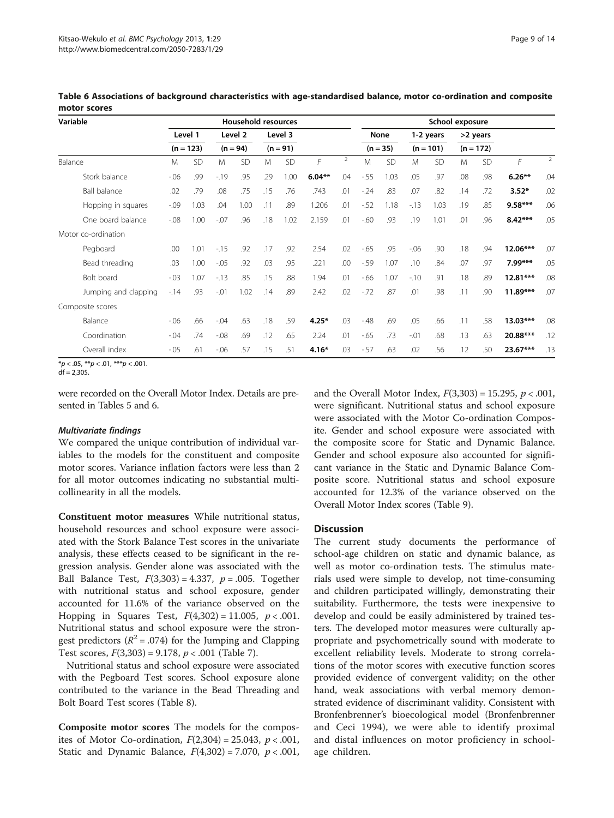| Variable             |         |             |         | <b>Household resources</b> |     |            |          |                | School exposure |             |        |             |     |             |            |     |
|----------------------|---------|-------------|---------|----------------------------|-----|------------|----------|----------------|-----------------|-------------|--------|-------------|-----|-------------|------------|-----|
|                      |         | Level 1     |         | Level 2                    |     | Level 3    |          |                |                 | <b>None</b> |        | 1-2 years   |     | >2 years    |            |     |
|                      |         | $(n = 123)$ |         | $(n = 94)$                 |     | $(n = 91)$ |          |                |                 | $(n = 35)$  |        | $(n = 101)$ |     | $(n = 172)$ |            |     |
| Balance              | M       | <b>SD</b>   | M       | <b>SD</b>                  | M   | <b>SD</b>  | F        | $\overline{2}$ | M               | <b>SD</b>   | M      | <b>SD</b>   | M   | <b>SD</b>   | $\sqrt{2}$ | 2   |
| Stork balance        | $-06$   | .99         | $-19$   | .95                        | .29 | 1.00       | $6.04**$ | .04            | $-55$           | 1.03        | .05    | .97         | .08 | .98         | $6.26**$   | .04 |
| <b>Ball balance</b>  | .02     | .79         | .08     | .75                        | .15 | .76        | .743     | .01            | $-24$           | .83         | .07    | .82         | .14 | .72         | $3.52*$    | .02 |
| Hopping in squares   | $-0.09$ | 1.03        | .04     | 1.00                       | .11 | .89        | 1.206    | .01            | $-52$           | 1.18        | $-13$  | 1.03        | .19 | .85         | $9.58***$  | .06 |
| One board balance    | $-0.08$ | 1.00        | $-0.07$ | .96                        | .18 | 1.02       | 2.159    | .01            | $-60$           | .93         | .19    | 1.01        | .01 | .96         | $8.42***$  | .05 |
| Motor co-ordination  |         |             |         |                            |     |            |          |                |                 |             |        |             |     |             |            |     |
| Pegboard             | .00     | 1.01        | $-15$   | .92                        | .17 | .92        | 2.54     | .02            | $-65$           | .95         | $-06$  | .90         | .18 | .94         | $12.06***$ | .07 |
| Bead threading       | .03     | 1.00        | $-.05$  | .92                        | .03 | .95        | .221     | .00            | $-59$           | 1.07        | .10    | .84         | .07 | .97         | $7.99***$  | .05 |
| Bolt board           | $-0.03$ | 1.07        | $-13$   | .85                        | .15 | .88        | 1.94     | .01            | $-66$           | 1.07        | $-10$  | .91         | .18 | .89         | $12.81***$ | .08 |
| Jumping and clapping | $-14$   | .93         | $-.01$  | 1.02                       | .14 | .89        | 2.42     | .02            | $-72$           | .87         | .01    | .98         | .11 | .90         | $11.89***$ | .07 |
| Composite scores     |         |             |         |                            |     |            |          |                |                 |             |        |             |     |             |            |     |
| Balance              | $-06$   | .66         | $-0.04$ | .63                        | .18 | .59        | $4.25*$  | .03            | $-48$           | .69         | .05    | .66         | .11 | .58         | $13.03***$ | .08 |
| Coordination         | $-.04$  | .74         | $-0.08$ | .69                        | .12 | .65        | 2.24     | .01            | $-65$           | .73         | $-.01$ | .68         | .13 | .63         | 20.88***   | .12 |
| Overall index        | $-0.05$ | .61         | $-06$   | .57                        | .15 | .51        | $4.16*$  | .03            | $-57$           | .63         | .02    | .56         | .12 | .50         | 23.67***   | .13 |

<span id="page-8-0"></span>Table 6 Associations of background characteristics with age-standardised balance, motor co-ordination and composite motor scores

\* $p < .05,$  \*\* $p < .01,$  \*\*\* $p < .001$ .

 $df = 2.305$ .

were recorded on the Overall Motor Index. Details are presented in Tables [5](#page-7-0) and 6.

#### Multivariate findings

We compared the unique contribution of individual variables to the models for the constituent and composite motor scores. Variance inflation factors were less than 2 for all motor outcomes indicating no substantial multicollinearity in all the models.

Constituent motor measures While nutritional status, household resources and school exposure were associated with the Stork Balance Test scores in the univariate analysis, these effects ceased to be significant in the regression analysis. Gender alone was associated with the Ball Balance Test,  $F(3,303) = 4.337$ ,  $p = .005$ . Together with nutritional status and school exposure, gender accounted for 11.6% of the variance observed on the Hopping in Squares Test,  $F(4,302) = 11.005$ ,  $p < .001$ . Nutritional status and school exposure were the strongest predictors ( $R^2$  = .074) for the Jumping and Clapping Test scores,  $F(3,303) = 9.178$ ,  $p < .001$  (Table [7](#page-9-0)).

Nutritional status and school exposure were associated with the Pegboard Test scores. School exposure alone contributed to the variance in the Bead Threading and Bolt Board Test scores (Table [8\)](#page-9-0).

Composite motor scores The models for the composites of Motor Co-ordination,  $F(2,304) = 25.043$ ,  $p < .001$ , Static and Dynamic Balance,  $F(4,302) = 7.070$ ,  $p < .001$ , and the Overall Motor Index,  $F(3,303) = 15.295$ ,  $p < .001$ , were significant. Nutritional status and school exposure were associated with the Motor Co-ordination Composite. Gender and school exposure were associated with the composite score for Static and Dynamic Balance. Gender and school exposure also accounted for significant variance in the Static and Dynamic Balance Composite score. Nutritional status and school exposure accounted for 12.3% of the variance observed on the Overall Motor Index scores (Table [9\)](#page-10-0).

## **Discussion**

The current study documents the performance of school-age children on static and dynamic balance, as well as motor co-ordination tests. The stimulus materials used were simple to develop, not time-consuming and children participated willingly, demonstrating their suitability. Furthermore, the tests were inexpensive to develop and could be easily administered by trained testers. The developed motor measures were culturally appropriate and psychometrically sound with moderate to excellent reliability levels. Moderate to strong correlations of the motor scores with executive function scores provided evidence of convergent validity; on the other hand, weak associations with verbal memory demonstrated evidence of discriminant validity. Consistent with Bronfenbrenner's bioecological model (Bronfenbrenner and Ceci [1994](#page-12-0)), we were able to identify proximal and distal influences on motor proficiency in schoolage children.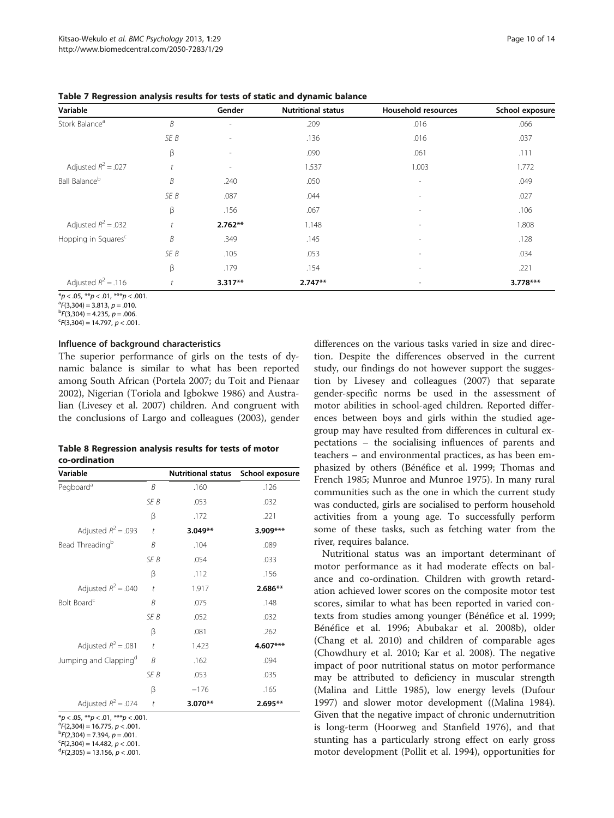| Variable                        |      | Gender                       | <b>Nutritional status</b> | <b>Household resources</b> | School exposure |
|---------------------------------|------|------------------------------|---------------------------|----------------------------|-----------------|
| Stork Balance <sup>a</sup>      | B    | ٠                            | .209                      | .016                       | .066            |
|                                 | SE B | $\overline{\phantom{a}}$     | .136                      | .016                       | .037            |
|                                 | β    | $\qquad \qquad \blacksquare$ | .090                      | .061                       | .111            |
| Adjusted $R^2$ = .027           |      | $\overline{\phantom{a}}$     | 1.537                     | 1.003                      | 1.772           |
| Ball Balance <sup>b</sup>       | B    | .240                         | .050                      | $\overline{\phantom{a}}$   | .049            |
|                                 | SE B | .087                         | .044                      | $\overline{\phantom{a}}$   | .027            |
|                                 | β    | .156                         | .067                      | $\overline{\phantom{m}}$   | .106            |
| Adjusted $R^2$ = .032           |      | $2.762**$                    | 1.148                     | $\overline{\phantom{a}}$   | 1.808           |
| Hopping in Squares <sup>c</sup> | B    | .349                         | .145                      | $\overline{\phantom{a}}$   | .128            |
|                                 | SE B | .105                         | .053                      | $\overline{\phantom{a}}$   | .034            |
|                                 | β    | .179                         | .154                      | $\overline{\phantom{a}}$   | .221            |
| Adjusted $R^2$ = .116           |      | $3.317**$                    | $2.747**$                 |                            | $3.778***$      |

<span id="page-9-0"></span>Table 7 Regression analysis results for tests of static and dynamic balance

<sup>D</sup>F(3,304) = 4.235, *p* = .006.<br><sup>C</sup>F(3 304) = 14 797, *n <* .001

 ${}^{c}F(3,304) = 14.797, p < .001.$ 

## Influence of background characteristics

The superior performance of girls on the tests of dynamic balance is similar to what has been reported among South African (Portela [2007;](#page-12-0) du Toit and Pienaar [2002](#page-12-0)), Nigerian (Toriola and Igbokwe [1986](#page-13-0)) and Australian (Livesey et al. [2007\)](#page-12-0) children. And congruent with the conclusions of Largo and colleagues ([2003](#page-12-0)), gender

| Table 8 Regression analysis results for tests of motor |  |  |
|--------------------------------------------------------|--|--|
| co-ordination                                          |  |  |

| Variable                          |                      | <b>Nutritional status</b> | School exposure |
|-----------------------------------|----------------------|---------------------------|-----------------|
| Pegboard <sup>a</sup>             | B                    | .160                      | .126            |
|                                   | SE B                 | .053                      | .032            |
|                                   | β                    | .172                      | .221            |
| Adjusted $R^2$ = .093             | $\bar{t}$            | $3.049**$                 | 3.909***        |
| Bead Threading <sup>b</sup>       | B                    | .104                      | .089            |
|                                   | SE B                 | .054                      | .033            |
|                                   | β                    | .112                      | .156            |
| Adjusted $R^2$ = .040             | $\ddot{\phantom{a}}$ | 1.917                     | $2.686**$       |
| Bolt Board <sup>c</sup>           | B                    | .075                      | .148            |
|                                   | SE B                 | .052                      | .032            |
|                                   | β                    | .081                      | .262            |
| Adjusted $R^2 = .081$             | $\bar{t}$            | 1.423                     | 4.607***        |
| Jumping and Clapping <sup>d</sup> | B                    | .162                      | .094            |
|                                   | SE B                 | .053                      | .035            |
|                                   | β                    | $-176$                    | .165            |
| Adjusted $R^2 = .074$             | $\bar{t}$            | 3.070**                   | $2.695**$       |

\*p < .05, \*\*p < .01, \*\*\*p < .001.<br>ªFD 304) = 16.775, n < 001.

<sup>a</sup>F(2,304) = 16.775, *p < .*001.<br><sup>b</sup>F(2,304) = 7,394, *n* = .001.

 ${}^{b}F(2,304) = 7.394, p = .001.$  ${}^{c}F(2,304) = 14.482, p < .001.$ 

 ${}^{d}F(2,305) = 13.156, p < .001.$ 

differences on the various tasks varied in size and direction. Despite the differences observed in the current study, our findings do not however support the suggestion by Livesey and colleagues ([2007\)](#page-12-0) that separate gender-specific norms be used in the assessment of motor abilities in school-aged children. Reported differences between boys and girls within the studied agegroup may have resulted from differences in cultural expectations – the socialising influences of parents and teachers – and environmental practices, as has been emphasized by others (Bénéfice et al. [1999](#page-12-0); Thomas and French [1985](#page-13-0); Munroe and Munroe [1975](#page-12-0)). In many rural communities such as the one in which the current study was conducted, girls are socialised to perform household activities from a young age. To successfully perform some of these tasks, such as fetching water from the river, requires balance.

Nutritional status was an important determinant of motor performance as it had moderate effects on balance and co-ordination. Children with growth retardation achieved lower scores on the composite motor test scores, similar to what has been reported in varied contexts from studies among younger (Bénéfice et al. [1999](#page-12-0); Bénéfice et al. [1996](#page-12-0); Abubakar et al. [2008b\)](#page-12-0), older (Chang et al. [2010\)](#page-12-0) and children of comparable ages (Chowdhury et al. [2010;](#page-12-0) Kar et al. [2008](#page-12-0)). The negative impact of poor nutritional status on motor performance may be attributed to deficiency in muscular strength (Malina and Little [1985](#page-12-0)), low energy levels (Dufour [1997](#page-12-0)) and slower motor development ((Malina [1984](#page-12-0)). Given that the negative impact of chronic undernutrition is long-term (Hoorweg and Stanfield [1976\)](#page-12-0), and that stunting has a particularly strong effect on early gross motor development (Pollit et al. [1994](#page-12-0)), opportunities for

 $*p < .05$ ,  $**p < .01$ ,  $**p < .001$ .<br> $*F(3,304) = 3.813$ ,  $p = .010$ . <sup>a</sup>F(3,304) = 3.813, *p* = .010.<br><sup>b</sup>F(3 304) = 4 235, n = .006.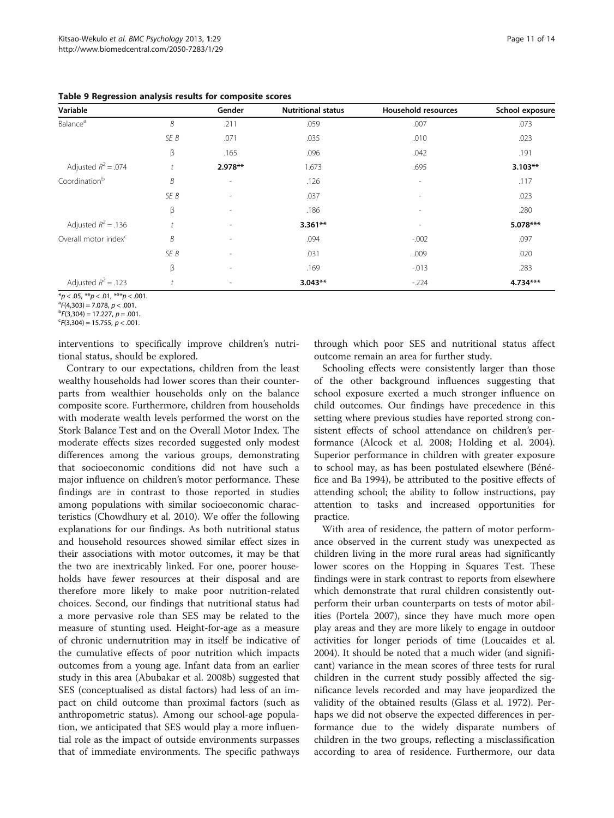| Variable                         |            | Gender                   | <b>Nutritional status</b> | Household resources      | School exposure |
|----------------------------------|------------|--------------------------|---------------------------|--------------------------|-----------------|
| Balance <sup>a</sup>             | B          | .211                     | .059                      | .007                     | .073            |
|                                  | SE B       | .071                     | .035                      | .010                     | .023            |
|                                  | β          | .165                     | .096                      | .042                     | .191            |
| Adjusted $R^2$ = .074            |            | 2.978**                  | 1.673                     | .695                     | $3.103**$       |
| Coordination <sup>b</sup>        | B          | $\overline{\phantom{a}}$ | .126                      | $\overline{\phantom{a}}$ | .117            |
|                                  | SE B       | $\overline{\phantom{a}}$ | .037                      | $\overline{\phantom{a}}$ | .023            |
|                                  | β          | $\overline{\phantom{a}}$ | .186                      | $\overline{a}$           | .280            |
| Adjusted $R^2$ = .136            | $\ddagger$ | $\overline{\phantom{a}}$ | $3.361**$                 | $\overline{\phantom{0}}$ | 5.078***        |
| Overall motor index <sup>c</sup> | B          | $\overline{\phantom{a}}$ | .094                      | $-0.002$                 | .097            |
|                                  | SE B       | $\overline{\phantom{a}}$ | .031                      | .009                     | .020            |
|                                  | β          | $\overline{\phantom{a}}$ | .169                      | $-0.013$                 | .283            |
| Adjusted $R^2$ = .123            | t          |                          | $3.043**$                 | $-224$                   | 4.734***        |

<span id="page-10-0"></span>Table 9 Regression analysis results for composite scores

 $*p < .05$ ,  $**p < .01$ ,  $**p < .001$ .<br> $*F(4,303) = 7.078$ ,  $p < .001$ .

 ${}^{c}$ F(3,304) = 15.755,  $p$  < .001.

interventions to specifically improve children's nutritional status, should be explored.

Contrary to our expectations, children from the least wealthy households had lower scores than their counterparts from wealthier households only on the balance composite score. Furthermore, children from households with moderate wealth levels performed the worst on the Stork Balance Test and on the Overall Motor Index. The moderate effects sizes recorded suggested only modest differences among the various groups, demonstrating that socioeconomic conditions did not have such a major influence on children's motor performance. These findings are in contrast to those reported in studies among populations with similar socioeconomic characteristics (Chowdhury et al. [2010](#page-12-0)). We offer the following explanations for our findings. As both nutritional status and household resources showed similar effect sizes in their associations with motor outcomes, it may be that the two are inextricably linked. For one, poorer households have fewer resources at their disposal and are therefore more likely to make poor nutrition-related choices. Second, our findings that nutritional status had a more pervasive role than SES may be related to the measure of stunting used. Height-for-age as a measure of chronic undernutrition may in itself be indicative of the cumulative effects of poor nutrition which impacts outcomes from a young age. Infant data from an earlier study in this area (Abubakar et al. [2008b](#page-12-0)) suggested that SES (conceptualised as distal factors) had less of an impact on child outcome than proximal factors (such as anthropometric status). Among our school-age population, we anticipated that SES would play a more influential role as the impact of outside environments surpasses that of immediate environments. The specific pathways through which poor SES and nutritional status affect outcome remain an area for further study.

Schooling effects were consistently larger than those of the other background influences suggesting that school exposure exerted a much stronger influence on child outcomes. Our findings have precedence in this setting where previous studies have reported strong consistent effects of school attendance on children's performance (Alcock et al. [2008](#page-12-0); Holding et al. [2004](#page-12-0)). Superior performance in children with greater exposure to school may, as has been postulated elsewhere (Bénéfice and Ba [1994\)](#page-12-0), be attributed to the positive effects of attending school; the ability to follow instructions, pay attention to tasks and increased opportunities for practice.

With area of residence, the pattern of motor performance observed in the current study was unexpected as children living in the more rural areas had significantly lower scores on the Hopping in Squares Test. These findings were in stark contrast to reports from elsewhere which demonstrate that rural children consistently outperform their urban counterparts on tests of motor abilities (Portela [2007\)](#page-12-0), since they have much more open play areas and they are more likely to engage in outdoor activities for longer periods of time (Loucaides et al. [2004](#page-12-0)). It should be noted that a much wider (and significant) variance in the mean scores of three tests for rural children in the current study possibly affected the significance levels recorded and may have jeopardized the validity of the obtained results (Glass et al. [1972](#page-12-0)). Perhaps we did not observe the expected differences in performance due to the widely disparate numbers of children in the two groups, reflecting a misclassification according to area of residence. Furthermore, our data

<sup>&</sup>lt;sup>a</sup>F(4,303) = 7.078, *p* < .001.<br><sup>b</sup>F(3 304) = 17 227, n = .00 <sup>D</sup>F(3,304) = 17.227, *p* = .001.<br><sup>c</sup>F(3.304) = 15.755, *n* < 001.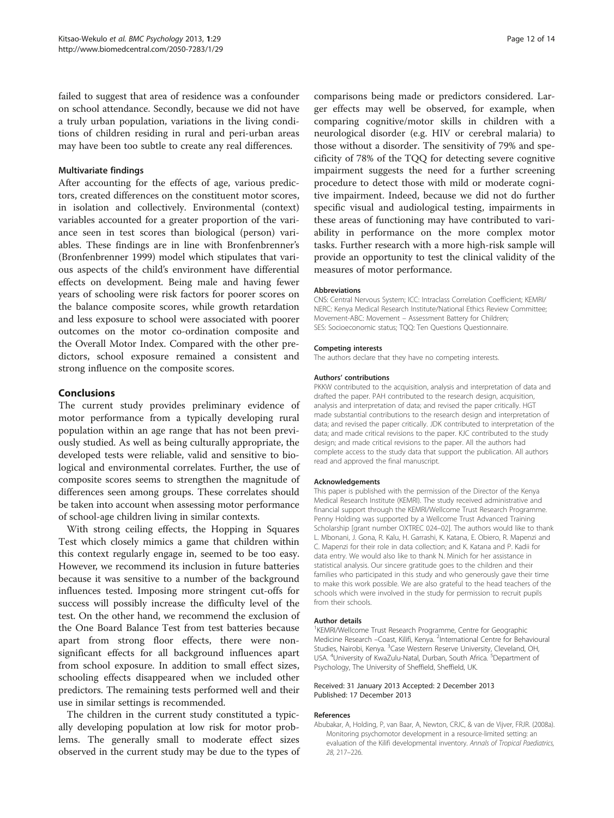<span id="page-11-0"></span>failed to suggest that area of residence was a confounder on school attendance. Secondly, because we did not have a truly urban population, variations in the living conditions of children residing in rural and peri-urban areas may have been too subtle to create any real differences.

## Multivariate findings

After accounting for the effects of age, various predictors, created differences on the constituent motor scores, in isolation and collectively. Environmental (context) variables accounted for a greater proportion of the variance seen in test scores than biological (person) variables. These findings are in line with Bronfenbrenner's (Bronfenbrenner [1999\)](#page-12-0) model which stipulates that various aspects of the child's environment have differential effects on development. Being male and having fewer years of schooling were risk factors for poorer scores on the balance composite scores, while growth retardation and less exposure to school were associated with poorer outcomes on the motor co-ordination composite and the Overall Motor Index. Compared with the other predictors, school exposure remained a consistent and strong influence on the composite scores.

## Conclusions

The current study provides preliminary evidence of motor performance from a typically developing rural population within an age range that has not been previously studied. As well as being culturally appropriate, the developed tests were reliable, valid and sensitive to biological and environmental correlates. Further, the use of composite scores seems to strengthen the magnitude of differences seen among groups. These correlates should be taken into account when assessing motor performance of school-age children living in similar contexts.

With strong ceiling effects, the Hopping in Squares Test which closely mimics a game that children within this context regularly engage in, seemed to be too easy. However, we recommend its inclusion in future batteries because it was sensitive to a number of the background influences tested. Imposing more stringent cut-offs for success will possibly increase the difficulty level of the test. On the other hand, we recommend the exclusion of the One Board Balance Test from test batteries because apart from strong floor effects, there were nonsignificant effects for all background influences apart from school exposure. In addition to small effect sizes, schooling effects disappeared when we included other predictors. The remaining tests performed well and their use in similar settings is recommended.

The children in the current study constituted a typically developing population at low risk for motor problems. The generally small to moderate effect sizes observed in the current study may be due to the types of comparisons being made or predictors considered. Larger effects may well be observed, for example, when comparing cognitive/motor skills in children with a neurological disorder (e.g. HIV or cerebral malaria) to those without a disorder. The sensitivity of 79% and specificity of 78% of the TQQ for detecting severe cognitive impairment suggests the need for a further screening procedure to detect those with mild or moderate cognitive impairment. Indeed, because we did not do further specific visual and audiological testing, impairments in these areas of functioning may have contributed to variability in performance on the more complex motor tasks. Further research with a more high-risk sample will provide an opportunity to test the clinical validity of the measures of motor performance.

#### Abbreviations

CNS: Central Nervous System; ICC: Intraclass Correlation Coefficient; KEMRI/ NERC: Kenya Medical Research Institute/National Ethics Review Committee; Movement-ABC: Movement – Assessment Battery for Children; SES: Socioeconomic status; TQQ: Ten Questions Questionnaire.

#### Competing interests

The authors declare that they have no competing interests.

#### Authors' contributions

PKKW contributed to the acquisition, analysis and interpretation of data and drafted the paper. PAH contributed to the research design, acquisition, analysis and interpretation of data; and revised the paper critically. HGT made substantial contributions to the research design and interpretation of data; and revised the paper critically. JDK contributed to interpretation of the data; and made critical revisions to the paper. KJC contributed to the study design; and made critical revisions to the paper. All the authors had complete access to the study data that support the publication. All authors read and approved the final manuscript.

#### Acknowledgements

This paper is published with the permission of the Director of the Kenya Medical Research Institute (KEMRI). The study received administrative and financial support through the KEMRI/Wellcome Trust Research Programme. Penny Holding was supported by a Wellcome Trust Advanced Training Scholarship [grant number OXTREC 024–02]. The authors would like to thank L. Mbonani, J. Gona, R. Kalu, H. Garrashi, K. Katana, E. Obiero, R. Mapenzi and C. Mapenzi for their role in data collection; and K. Katana and P. Kadii for data entry. We would also like to thank N. Minich for her assistance in statistical analysis. Our sincere gratitude goes to the children and their families who participated in this study and who generously gave their time to make this work possible. We are also grateful to the head teachers of the schools which were involved in the study for permission to recruit pupils from their schools.

#### Author details

<sup>1</sup>KEMRI/Wellcome Trust Research Programme, Centre for Geographic Medicine Research -Coast, Kilifi, Kenya. <sup>2</sup>International Centre for Behavioural Studies, Nairobi, Kenya. <sup>3</sup> Case Western Reserve University, Cleveland, OH, USA. <sup>4</sup>University of KwaZulu-Natal, Durban, South Africa. <sup>5</sup>Department of Psychology, The University of Sheffield, Sheffield, UK.

#### Received: 31 January 2013 Accepted: 2 December 2013 Published: 17 December 2013

#### References

Abubakar, A, Holding, P, van Baar, A, Newton, CRJC, & van de Vijver, FRJR. (2008a). Monitoring psychomotor development in a resource-limited setting: an evaluation of the Kilifi developmental inventory. Annals of Tropical Paediatrics, 28, 217–226.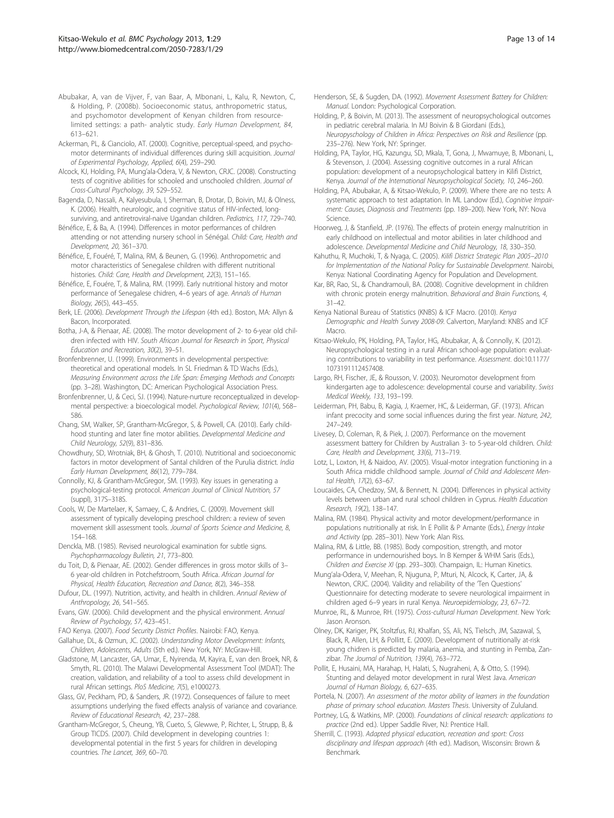- <span id="page-12-0"></span>Abubakar, A, van de Vijver, F, van Baar, A, Mbonani, L, Kalu, R, Newton, C, & Holding, P. (2008b). Socioeconomic status, anthropometric status, and psychomotor development of Kenyan children from resourcelimited settings: a path- analytic study. Early Human Development, 84, 613–621.
- Ackerman, PL, & Cianciolo, AT. (2000). Cognitive, perceptual-speed, and psychomotor determinants of individual differences during skill acquisition. Journal of Experimental Psychology, Applied, 6(4), 259–290.
- Alcock, KJ, Holding, PA, Mung'ala-Odera, V, & Newton, CRJC. (2008). Constructing tests of cognitive abilities for schooled and unschooled children. Journal of Cross-Cultural Psychology, 39, 529–552.
- Bagenda, D, Nassali, A, Kalyesubula, I, Sherman, B, Drotar, D, Boivin, MJ, & Olness, K. (2006). Health, neurologic, and cognitive status of HIV-infected, longsurviving, and antiretroviral-naive Ugandan children. Pediatrics, 117, 729–740.
- Bénéfice, E, & Ba, A. (1994). Differences in motor performances of children attending or not attending nursery school in Sénégal. Child: Care, Health and Development, 20, 361–370.
- Bénéfice, E, Fouéré, T, Malina, RM, & Beunen, G. (1996). Anthropometric and motor characteristics of Senegalese children with different nutritional histories. Child: Care, Health and Development, 22(3), 151–165.
- Bénéfice, E, Fouére, T, & Malina, RM. (1999). Early nutritional history and motor performance of Senegalese chidren, 4–6 years of age. Annals of Human Biology, 26(5), 443–455.
- Berk, LE. (2006). Development Through the Lifespan (4th ed.). Boston, MA: Allyn & Bacon, Incorporated.
- Botha, J-A, & Pienaar, AE. (2008). The motor development of 2- to 6-year old children infected with HIV. South African Journal for Research in Sport, Physical Education and Recreation, 30(2), 39–51.
- Bronfenbrenner, U. (1999). Environments in developmental perspective: theoretical and operational models. In SL Friedman & TD Wachs (Eds.), Measuring Environment across the Life Span: Emerging Methods and Concepts (pp. 3–28). Washington, DC: American Psychological Association Press.
- Bronfenbrenner, U, & Ceci, SJ. (1994). Nature-nurture reconceptualized in developmental perspective: a bioecological model. Psychological Review, 101(4), 568– 586.
- Chang, SM, Walker, SP, Grantham-McGregor, S, & Powell, CA. (2010). Early childhood stunting and later fine motor abilities. Developmental Medicine and Child Neurology, 52(9), 831–836.
- Chowdhury, SD, Wrotniak, BH, & Ghosh, T. (2010). Nutritional and socioeconomic factors in motor development of Santal children of the Purulia district. India Early Human Development, 86(12), 779–784.
- Connolly, KJ, & Grantham-McGregor, SM. (1993). Key issues in generating a psychological-testing protocol. American Journal of Clinical Nutrition, 57 (suppl), 317S–318S.
- Cools, W, De Martelaer, K, Samaey, C, & Andries, C. (2009). Movement skill assessment of typically developing preschool children: a review of seven movement skill assessment tools. Journal of Sports Science and Medicine, 8, 154–168.
- Denckla, MB. (1985). Revised neurological examination for subtle signs. Psychopharmacology Bulletin, 21, 773–800.
- du Toit, D, & Pienaar, AE. (2002). Gender differences in gross motor skills of 3– 6 year-old children in Potchefstroom, South Africa. African Journal for Physical, Health Education, Recreation and Dance, 8(2), 346–358.
- Dufour, DL. (1997). Nutrition, activity, and health in children. Annual Review of Anthropology, 26, 541–565.
- Evans, GW. (2006). Child development and the physical environment. Annual Review of Psychology, 57, 423–451.
- FAO Kenya. (2007). Food Security District Profiles. Nairobi: FAO, Kenya.
- Gallahue, DL, & Ozmun, JC. (2002). Understanding Motor Development: Infants, Children, Adolescents, Adults (5th ed.). New York, NY: McGraw-Hill.
- Gladstone, M, Lancaster, GA, Umar, E, Nyirenda, M, Kayira, E, van den Broek, NR, & Smyth, RL. (2010). The Malawi Developmental Assessment Tool (MDAT): The creation, validation, and reliability of a tool to assess child development in rural African settings. PloS Medicine, 7(5), e1000273.
- Glass, GV, Peckham, PD, & Sanders, JR. (1972). Consequences of failure to meet assumptions underlying the fixed effects analysis of variance and covariance. Review of Educational Research, 42, 237–288.
- Grantham-McGregor, S, Cheung, YB, Cueto, S, Glewwe, P, Richter, L, Strupp, B, & Group TICDS. (2007). Child development in developing countries 1: developmental potential in the first 5 years for children in developing countries. The Lancet, 369, 60–70.
- Henderson, SE, & Sugden, DA. (1992). Movement Assessment Battery for Children: Manual. London: Psychological Corporation.
- Holding, P, & Boivin, M. (2013). The assessment of neuropsychological outcomes in pediatric cerebral malaria. In MJ Boivin & B Giordani (Eds.), Neuropyschology of Children in Africa: Perspectives on Risk and Resilience (pp. 235–276). New York, NY: Springer.
- Holding, PA, Taylor, HG, Kazungu, SD, Mkala, T, Gona, J, Mwamuye, B, Mbonani, L, & Stevenson, J. (2004). Assessing cognitive outcomes in a rural African population: development of a neuropsychological battery in Kilifi District, Kenya. Journal of the International Neuropsychological Society, 10, 246–260.
- Holding, PA, Abubakar, A, & Kitsao-Wekulo, P. (2009). Where there are no tests: A systematic approach to test adaptation. In ML Landow (Ed.), Cognitive Impairment: Causes, Diagnosis and Treatments (pp. 189–200). New York, NY: Nova Science.
- Hoorweg, J, & Stanfield, JP. (1976). The effects of protein energy malnutrition in early childhood on intellectual and motor abilities in later childhood and adolescence. Developmental Medicine and Child Neurology, 18, 330–350.
- Kahuthu, R, Muchoki, T, & Nyaga, C. (2005). Kilifi District Strategic Plan 2005–2010 for Implementation of the National Policy for Sustainable Development. Nairobi, Kenya: National Coordinating Agency for Population and Development.
- Kar, BR, Rao, SL, & Chandramouli, BA. (2008). Cognitive development in children with chronic protein energy malnutrition. Behavioral and Brain Functions, 4, 31–42.
- Kenya National Bureau of Statistics (KNBS) & ICF Macro. (2010). Kenya Demographic and Health Survey 2008-09. Calverton, Maryland: KNBS and ICF Macro.
- Kitsao-Wekulo, PK, Holding, PA, Taylor, HG, Abubakar, A, & Connolly, K. (2012). Neuropsychological testing in a rural African school-age population: evaluating contributions to variability in test performance. Assessment. doi:10.1177/ 1073191112457408.
- Largo, RH, Fischer, JE, & Rousson, V. (2003). Neuromotor development from kindergarten age to adolescence: developmental course and variability. Swiss Medical Weekly, 133, 193–199.
- Leiderman, PH, Babu, B, Kagia, J, Kraemer, HC, & Leiderman, GF. (1973). African infant precocity and some social influences during the first year. Nature, 242, 247–249.
- Livesey, D, Coleman, R, & Piek, J. (2007). Performance on the movement assessment battery for Children by Australian 3- to 5-year-old children. Child: Care, Health and Development, 33(6), 713–719.
- Lotz, L, Loxton, H, & Naidoo, AV. (2005). Visual-motor integration functioning in a South Africa middle childhood sample. Journal of Child and Adolescent Mental Health, 17(2), 63–67.
- Loucaides, CA, Chedzoy, SM, & Bennett, N. (2004). Differences in physical activity levels between urban and rural school children in Cyprus. Health Education Research, 19(2), 138–147.
- Malina, RM. (1984). Physical activity and motor development/performance in populations nutritionally at risk. In E Pollit & P Amante (Eds.), Energy Intake and Activity (pp. 285–301). New York: Alan Riss.
- Malina, RM, & Little, BB. (1985). Body composition, strength, and motor performance in undernourished boys. In B Kemper & WHM Saris (Eds.), Children and Exercise XI (pp. 293–300). Champaign, IL: Human Kinetics.
- Mung'ala-Odera, V, Meehan, R, Njuguna, P, Mturi, N, Alcock, K, Carter, JA, & Newton, CRJC. (2004). Validity and reliability of the 'Ten Questions' Questionnaire for detecting moderate to severe neurological impairment in children aged 6–9 years in rural Kenya. Neuroepidemiology, 23, 67–72.
- Munroe, RL, & Munroe, RH. (1975). Cross-cultural Human Development. New York: Jason Aronson.
- Olney, DK, Kariger, PK, Stoltzfus, RJ, Khalfan, SS, Ali, NS, Tielsch, JM, Sazawal, S, Black, R, Allen, LH, & Pollitt, E. (2009). Development of nutritionally at-risk young chidren is predicted by malaria, anemia, and stunting in Pemba, Zanzibar. The Journal of Nutrition, 139(4), 763–772.
- Pollit, E, Husaini, MA, Harahap, H, Halati, S, Nugraheni, A, & Otto, S. (1994). Stunting and delayed motor development in rural West Java. American Journal of Human Biology, 6, 627–635.
- Portela, N. (2007). An assessment of the motor ability of learners in the foundation phase of primary school education. Masters Thesis. University of Zululand.
- Portney, LG, & Watkins, MP. (2000). Foundations of clinical research: applications to practice (2nd ed.). Upper Saddle River, NJ: Prentice Hall.
- Sherrill, C. (1993). Adapted physical education, recreation and sport: Cross disciplinary and lifespan approach (4th ed.). Madison, Wisconsin: Brown & Benchmark.